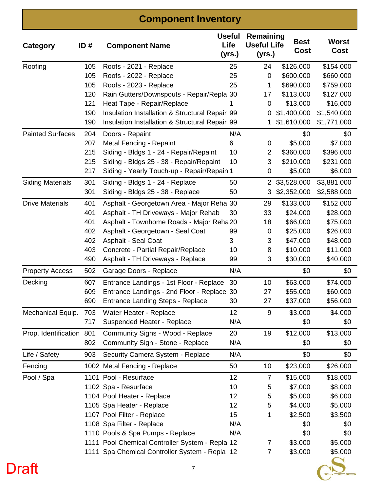#### **Component Inventory**

| Category                 | ID# | <b>Component Name</b>                           | <b>Useful</b><br>Life<br>(yrs.) | Remaining<br><b>Useful Life</b><br>(yrs.) | <b>Best</b><br>Cost | <b>Worst</b><br><b>Cost</b> |
|--------------------------|-----|-------------------------------------------------|---------------------------------|-------------------------------------------|---------------------|-----------------------------|
| Roofing                  | 105 | Roofs - 2021 - Replace                          | 25                              | 24                                        | \$126,000           | \$154,000                   |
|                          | 105 | Roofs - 2022 - Replace                          | 25                              | $\mathbf 0$                               | \$600,000           | \$660,000                   |
|                          | 105 | Roofs - 2023 - Replace                          | 25                              | 1                                         | \$690,000           | \$759,000                   |
|                          | 120 | Rain Gutters/Downspouts - Repair/Repla 30       |                                 | 17                                        | \$113,000           | \$127,000                   |
|                          | 121 | Heat Tape - Repair/Replace                      |                                 | 0                                         | \$13,000            | \$16,000                    |
|                          | 190 | Insulation Installation & Structural Repair 99  |                                 | 0                                         | \$1,400,000         | \$1,540,000                 |
|                          | 190 | Insulation Installation & Structural Repair 99  |                                 | 1                                         | \$1,610,000         | \$1,771,000                 |
| <b>Painted Surfaces</b>  | 204 | Doors - Repaint                                 | N/A                             |                                           | \$0                 | \$0                         |
|                          | 207 | Metal Fencing - Repaint                         | 6                               | 0                                         | \$5,000             | \$7,000                     |
|                          | 215 | Siding - Bldgs 1 - 24 - Repair/Repaint          | 10                              | 2                                         | \$360,000           | \$396,000                   |
|                          | 215 | Siding - Bldgs 25 - 38 - Repair/Repaint         | 10                              | 3                                         | \$210,000           | \$231,000                   |
|                          | 217 | Siding - Yearly Touch-up - Repair/Repain 1      |                                 | 0                                         | \$5,000             | \$6,000                     |
| <b>Siding Materials</b>  | 301 | Siding - Bldgs 1 - 24 - Replace                 | 50                              | 2                                         | \$3,528,000         | \$3,881,000                 |
|                          | 301 | Siding - Bldgs 25 - 38 - Replace                | 50                              | 3                                         | \$2,352,000         | \$2,588,000                 |
| <b>Drive Materials</b>   | 401 | Asphalt - Georgetown Area - Major Reha 30       |                                 | 29                                        | \$133,000           | \$152,000                   |
|                          | 401 | Asphalt - TH Driveways - Major Rehab            | 30                              | 33                                        | \$24,000            | \$28,000                    |
|                          | 401 | Asphalt - Townhome Roads - Major Reha20         |                                 | 18                                        | \$66,000            | \$75,000                    |
|                          | 402 | Asphalt - Georgetown - Seal Coat                | 99                              | 0                                         | \$25,000            | \$26,000                    |
|                          | 402 | <b>Asphalt - Seal Coat</b>                      | 3                               | 3                                         | \$47,000            | \$48,000                    |
|                          | 403 | Concrete - Partial Repair/Replace               | 10                              | 8                                         | \$10,000            | \$11,000                    |
|                          | 490 | Asphalt - TH Driveways - Replace                | 99                              | 3                                         | \$30,000            | \$40,000                    |
| <b>Property Access</b>   | 502 | Garage Doors - Replace                          | N/A                             |                                           | \$0                 | \$0                         |
| Decking                  | 607 | Entrance Landings - 1st Floor - Replace         | 30                              | 10                                        | \$63,000            | \$74,000                    |
|                          | 609 | Entrance Landings - 2nd Floor - Replace 30      |                                 | 27                                        | \$55,000            | \$60,000                    |
|                          | 690 | <b>Entrance Landing Steps - Replace</b>         | 30                              | 27                                        | \$37,000            | \$56,000                    |
| Mechanical Equip.        | 703 | Water Heater - Replace                          | 12                              | 9                                         | \$3,000             | \$4,000                     |
|                          | 717 | Suspended Heater - Replace                      | N/A                             |                                           | \$0                 | \$0                         |
| Prop. Identification 801 |     | Community Signs - Wood - Replace                | 20                              | 19                                        | \$12,000            | \$13,000                    |
|                          | 802 | Community Sign - Stone - Replace                | N/A                             |                                           | \$0                 | \$0                         |
| Life / Safety            | 903 | Security Camera System - Replace                | N/A                             |                                           | \$0                 | \$0                         |
| Fencing                  |     | 1002 Metal Fencing - Replace                    | 50                              | 10                                        | \$23,000            | \$26,000                    |
| Pool / Spa               |     | 1101 Pool - Resurface                           | 12                              | 7                                         | \$15,000            | \$18,000                    |
|                          |     | 1102 Spa - Resurface                            | 10                              | 5                                         | \$7,000             | \$8,000                     |
|                          |     | 1104 Pool Heater - Replace                      | 12                              | 5                                         | \$5,000             | \$6,000                     |
|                          |     | 1105 Spa Heater - Replace                       | 12                              | 5                                         | \$4,000             | \$5,000                     |
|                          |     | 1107 Pool Filter - Replace                      | 15                              | 1                                         | \$2,500             | \$3,500                     |
|                          |     | 1108 Spa Filter - Replace                       | N/A                             |                                           | \$0                 | \$0                         |
|                          |     | 1110 Pools & Spa Pumps - Replace                | N/A                             |                                           | \$0                 | \$0                         |
|                          |     | 1111 Pool Chemical Controller System - Repla 12 |                                 | 7                                         | \$3,000             | \$5,000                     |
|                          |     | 1111 Spa Chemical Controller System - Repla 12  |                                 | 7                                         | \$3,000             | \$5,000                     |

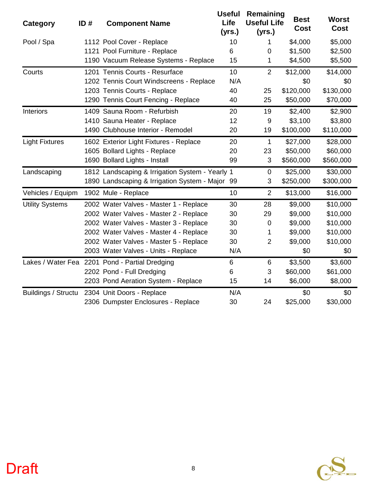| Category               | ID# | <b>Component Name</b>                           | <b>Useful</b><br>Life<br>(yrs.) | Remaining<br><b>Useful Life</b><br>(yrs.) | <b>Best</b><br><b>Cost</b> | <b>Worst</b><br><b>Cost</b> |
|------------------------|-----|-------------------------------------------------|---------------------------------|-------------------------------------------|----------------------------|-----------------------------|
| Pool / Spa             |     | 1112 Pool Cover - Replace                       | 10                              | 1                                         | \$4,000                    | \$5,000                     |
|                        |     | 1121 Pool Furniture - Replace                   | 6                               | $\mathbf 0$                               | \$1,500                    | \$2,500                     |
|                        |     | 1190 Vacuum Release Systems - Replace           | 15                              | 1                                         | \$4,500                    | \$5,500                     |
| Courts                 |     | 1201 Tennis Courts - Resurface                  | 10                              | $\overline{2}$                            | \$12,000                   | \$14,000                    |
|                        |     | 1202 Tennis Court Windscreens - Replace         | N/A                             |                                           | \$0                        | \$0                         |
|                        |     | 1203 Tennis Courts - Replace                    | 40                              | 25                                        | \$120,000                  | \$130,000                   |
|                        |     | 1290 Tennis Court Fencing - Replace             | 40                              | 25                                        | \$50,000                   | \$70,000                    |
| Interiors              |     | 1409 Sauna Room - Refurbish                     | 20                              | 19                                        | \$2,400                    | \$2,900                     |
|                        |     | 1410 Sauna Heater - Replace                     | 12                              | 9                                         | \$3,100                    | \$3,800                     |
|                        |     | 1490 Clubhouse Interior - Remodel               | 20                              | 19                                        | \$100,000                  | \$110,000                   |
| <b>Light Fixtures</b>  |     | 1602 Exterior Light Fixtures - Replace          | 20                              | 1                                         | \$27,000                   | \$28,000                    |
|                        |     | 1605 Bollard Lights - Replace                   | 20                              | 23                                        | \$50,000                   | \$60,000                    |
|                        |     | 1690 Bollard Lights - Install                   | 99                              | 3                                         | \$560,000                  | \$560,000                   |
| Landscaping            |     | 1812 Landscaping & Irrigation System - Yearly 1 |                                 | $\mathbf 0$                               | \$25,000                   | \$30,000                    |
|                        |     | 1890 Landscaping & Irrigation System - Major 99 |                                 | 3                                         | \$250,000                  | \$300,000                   |
| Vehicles / Equipm      |     | 1902 Mule - Replace                             | 10                              | $\overline{2}$                            | \$13,000                   | \$16,000                    |
| <b>Utility Systems</b> |     | 2002 Water Valves - Master 1 - Replace          | 30                              | 28                                        | \$9,000                    | \$10,000                    |
|                        |     | 2002 Water Valves - Master 2 - Replace          | 30                              | 29                                        | \$9,000                    | \$10,000                    |
|                        |     | 2002 Water Valves - Master 3 - Replace          | 30                              | $\boldsymbol{0}$                          | \$9,000                    | \$10,000                    |
|                        |     | 2002 Water Valves - Master 4 - Replace          | 30                              | 1                                         | \$9,000                    | \$10,000                    |
|                        |     | 2002 Water Valves - Master 5 - Replace          | 30                              | $\overline{2}$                            | \$9,000                    | \$10,000                    |
|                        |     | 2003 Water Valves - Units - Replace             | N/A                             |                                           | \$0                        | \$0                         |
|                        |     | Lakes / Water Fea 2201 Pond - Partial Dredging  | 6                               | $6\phantom{1}6$                           | \$3,500                    | \$3,600                     |
|                        |     | 2202 Pond - Full Dredging                       | 6                               | 3                                         | \$60,000                   | \$61,000                    |
|                        |     | 2203 Pond Aeration System - Replace             | 15                              | 14                                        | \$6,000                    | \$8,000                     |
| Buildings / Structu    |     | 2304 Unit Doors - Replace                       | N/A                             |                                           | \$0                        | \$0                         |
|                        |     | 2306 Dumpster Enclosures - Replace              | 30                              | 24                                        | \$25,000                   | \$30,000                    |

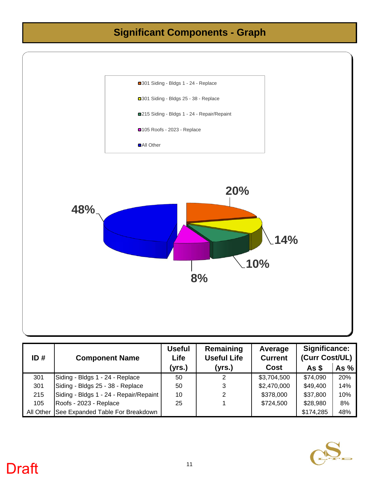#### **Significant Components - Graph**



| ID#       | <b>Component Name</b>                  | userui<br><b>Life</b> | Remaining<br><b>Useful Life</b> | Average<br><b>Current</b> | Significance:<br>(Curr Cost/UL) |        |
|-----------|----------------------------------------|-----------------------|---------------------------------|---------------------------|---------------------------------|--------|
|           |                                        | (yrs.)                | (yrs.)                          | <b>Cost</b>               | As <sub>s</sub>                 | As $%$ |
| 301       | Siding - Bldgs 1 - 24 - Replace        | 50                    | ົ                               | \$3,704,500               | \$74,090                        | 20%    |
| 301       | Siding - Bldgs 25 - 38 - Replace       | 50                    | 3                               | \$2,470,000               | \$49,400                        | 14%    |
| 215       | Siding - Bldgs 1 - 24 - Repair/Repaint | 10                    |                                 | \$378,000                 | \$37,800                        | 10%    |
| 105       | Roofs - 2023 - Replace                 | 25                    |                                 | \$724,500                 | \$28,980                        | 8%     |
| All Other | See Expanded Table For Breakdown       |                       |                                 |                           | \$174,285                       | 48%    |

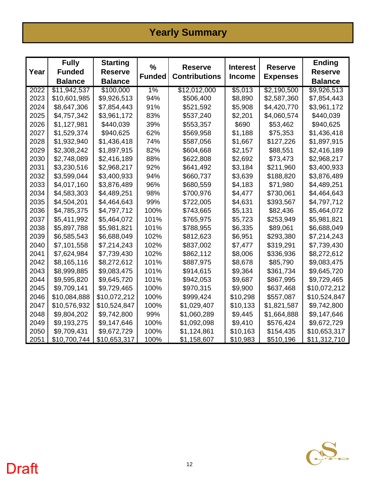#### **Yearly Summary**

| Year | <b>Fully</b><br><b>Funded</b><br><b>Balance</b> | <b>Starting</b><br><b>Reserve</b><br><b>Balance</b> | %<br><b>Funded</b> | <b>Reserve</b><br><b>Contributions</b> | <b>Interest</b><br><b>Income</b> | <b>Reserve</b><br><b>Expenses</b> | <b>Ending</b><br><b>Reserve</b><br><b>Balance</b> |
|------|-------------------------------------------------|-----------------------------------------------------|--------------------|----------------------------------------|----------------------------------|-----------------------------------|---------------------------------------------------|
| 2022 | \$11,942,537                                    | \$100,000                                           | 1%                 | \$12,012,000                           | \$5,013                          | \$2,190,500                       | \$9,926,513                                       |
| 2023 | \$10,601,985                                    | \$9,926,513                                         | 94%                | \$506,400                              | \$8,890                          | \$2,587,360                       | \$7,854,443                                       |
| 2024 | \$8,647,306                                     | \$7,854,443                                         | 91%                | \$521,592                              | \$5,908                          | \$4,420,770                       | \$3,961,172                                       |
| 2025 | \$4,757,342                                     | \$3,961,172                                         | 83%                | \$537,240                              | \$2,201                          | \$4,060,574                       | \$440,039                                         |
| 2026 | \$1,127,981                                     | \$440,039                                           | 39%                | \$553,357                              | \$690                            | \$53,462                          | \$940,625                                         |
| 2027 | \$1,529,374                                     | \$940,625                                           | 62%                | \$569,958                              | \$1,188                          | \$75,353                          | \$1,436,418                                       |
| 2028 | \$1,932,940                                     | \$1,436,418                                         | 74%                | \$587,056                              | \$1,667                          | \$127,226                         | \$1,897,915                                       |
| 2029 | \$2,308,242                                     | \$1,897,915                                         | 82%                | \$604,668                              | \$2,157                          | \$88,551                          | \$2,416,189                                       |
| 2030 | \$2,748,089                                     | \$2,416,189                                         | 88%                | \$622,808                              | \$2,692                          | \$73,473                          | \$2,968,217                                       |
| 2031 | \$3,230,516                                     | \$2,968,217                                         | 92%                | \$641,492                              | \$3,184                          | \$211,960                         | \$3,400,933                                       |
| 2032 | \$3,599,044                                     | \$3,400,933                                         | 94%                | \$660,737                              | \$3,639                          | \$188,820                         | \$3,876,489                                       |
| 2033 | \$4,017,160                                     | \$3,876,489                                         | 96%                | \$680,559                              | \$4,183                          | \$71,980                          | \$4,489,251                                       |
| 2034 | \$4,583,303                                     | \$4,489,251                                         | 98%                | \$700,976                              | \$4,477                          | \$730,061                         | \$4,464,643                                       |
| 2035 | \$4,504,201                                     | \$4,464,643                                         | 99%                | \$722,005                              | \$4,631                          | \$393,567                         | \$4,797,712                                       |
| 2036 | \$4,785,375                                     | \$4,797,712                                         | 100%               | \$743,665                              | \$5,131                          | \$82,436                          | \$5,464,072                                       |
| 2037 | \$5,411,992                                     | \$5,464,072                                         | 101%               | \$765,975                              | \$5,723                          | \$253,949                         | \$5,981,821                                       |
| 2038 | \$5,897,788                                     | \$5,981,821                                         | 101%               | \$788,955                              | \$6,335                          | \$89,061                          | \$6,688,049                                       |
| 2039 | \$6,585,543                                     | \$6,688,049                                         | 102%               | \$812,623                              | \$6,951                          | \$293,380                         | \$7,214,243                                       |
| 2040 | \$7,101,558                                     | \$7,214,243                                         | 102%               | \$837,002                              | \$7,477                          | \$319,291                         | \$7,739,430                                       |
| 2041 | \$7,624,984                                     | \$7,739,430                                         | 102%               | \$862,112                              | \$8,006                          | \$336,936                         | \$8,272,612                                       |
| 2042 | \$8,165,116                                     | \$8,272,612                                         | 101%               | \$887,975                              | \$8,678                          | \$85,790                          | \$9,083,475                                       |
| 2043 | \$8,999,885                                     | \$9,083,475                                         | 101%               | \$914,615                              | \$9,364                          | \$361,734                         | \$9,645,720                                       |
| 2044 | \$9,595,820                                     | \$9,645,720                                         | 101%               | \$942,053                              | \$9,687                          | \$867,995                         | \$9,729,465                                       |
| 2045 | \$9,709,141                                     | \$9,729,465                                         | 100%               | \$970,315                              | \$9,900                          | \$637,468                         | \$10,072,212                                      |
| 2046 | \$10,084,888                                    | \$10,072,212                                        | 100%               | \$999,424                              | \$10,298                         | \$557,087                         | \$10,524,847                                      |
| 2047 | \$10,576,932                                    | \$10,524,847                                        | 100%               | \$1,029,407                            | \$10,133                         | \$1,821,587                       | \$9,742,800                                       |
| 2048 | \$9,804,202                                     | \$9,742,800                                         | 99%                | \$1,060,289                            | \$9,445                          | \$1,664,888                       | \$9,147,646                                       |
| 2049 | \$9,193,275                                     | \$9,147,646                                         | 100%               | \$1,092,098                            | \$9,410                          | \$576,424                         | \$9,672,729                                       |
| 2050 | \$9,709,431                                     | \$9,672,729                                         | 100%               | \$1,124,861                            | \$10,163                         | \$154,435                         | \$10,653,317                                      |
| 2051 | \$10,700,744                                    | \$10,653,317                                        | 100%               | \$1,158,607                            | \$10,983                         | \$510,196                         | \$11,312,710                                      |

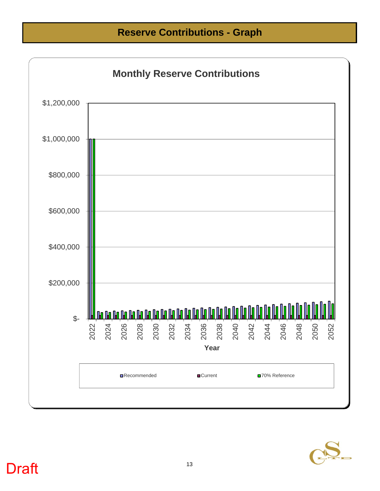**Reserve Contributions - Graph**



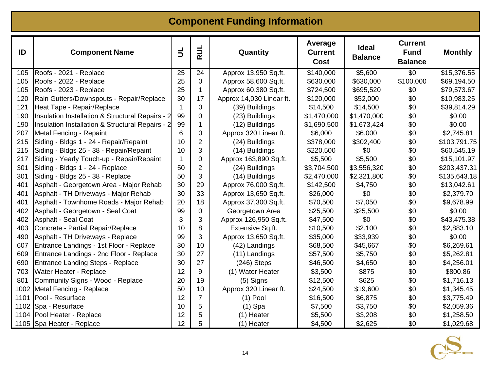#### **Component Funding Information**

| ID   | <b>Component Name</b>                            | $\mathbf{1}$ | <b>RUL</b>     | Quantity                 | Average<br><b>Current</b><br><b>Cost</b> | <b>Ideal</b><br><b>Balance</b> | <b>Current</b><br><b>Fund</b><br><b>Balance</b> | <b>Monthly</b> |
|------|--------------------------------------------------|--------------|----------------|--------------------------|------------------------------------------|--------------------------------|-------------------------------------------------|----------------|
| 105  | Roofs - 2021 - Replace                           | 25           | 24             | Approx 13,950 Sq.ft.     | \$140,000                                | \$5,600                        | \$0                                             | \$15,376.55    |
| 105  | Roofs - 2022 - Replace                           | 25           | $\mathbf 0$    | Approx 58,600 Sq.ft.     | \$630,000                                | \$630,000                      | \$100,000                                       | \$69,194.50    |
| 105  | Roofs - 2023 - Replace                           | 25           | 1              | Approx 60,380 Sq.ft.     | \$724,500                                | \$695,520                      | \$0                                             | \$79,573.67    |
| 120  | Rain Gutters/Downspouts - Repair/Replace         | 30           | 17             | Approx 14,030 Linear ft. | \$120,000                                | \$52,000                       | \$0                                             | \$10,983.25    |
| 121  | Heat Tape - Repair/Replace                       | 1            | $\mathbf 0$    | (39) Buildings           | \$14,500                                 | \$14,500                       | \$0                                             | \$39,814.29    |
| 190  | Insulation Installation & Structural Repairs - 2 | 99           | 0              | (23) Buildings           | \$1,470,000                              | \$1,470,000                    | \$0                                             | \$0.00         |
| 190  | Insulation Installation & Structural Repairs - 2 | 99           | 1              | (12) Buildings           | \$1,690,500                              | \$1,673,424                    | \$0                                             | \$0.00         |
| 207  | Metal Fencing - Repaint                          | 6            | 0              | Approx 320 Linear ft.    | \$6,000                                  | \$6,000                        | \$0                                             | \$2,745.81     |
| 215  | Siding - Bldgs 1 - 24 - Repair/Repaint           | 10           | $\overline{2}$ | (24) Buildings           | \$378,000                                | \$302,400                      | \$0                                             | \$103,791.75   |
| 215  | Siding - Bldgs 25 - 38 - Repair/Repaint          | 10           | 3              | (14) Buildings           | \$220,500                                | \$0                            | \$0                                             | \$60,545.19    |
| 217  | Siding - Yearly Touch-up - Repair/Repaint        | 1            | 0              | Approx 163,890 Sq.ft.    | \$5,500                                  | \$5,500                        | \$0                                             | \$15,101.97    |
| 301  | Siding - Bldgs 1 - 24 - Replace                  | 50           | $\overline{2}$ | (24) Buildings           | \$3,704,500                              | \$3,556,320                    | \$0                                             | \$203,437.31   |
| 301  | Siding - Bldgs 25 - 38 - Replace                 | 50           | 3              | (14) Buildings           | \$2,470,000                              | \$2,321,800                    | \$0                                             | \$135,643.18   |
| 401  | Asphalt - Georgetown Area - Major Rehab          | 30           | 29             | Approx 76,000 Sq.ft.     | \$142,500                                | \$4,750                        | \$0                                             | \$13,042.61    |
| 401  | Asphalt - TH Driveways - Major Rehab             | 30           | 33             | Approx 13,650 Sq.ft.     | \$26,000                                 | \$0                            | \$0                                             | \$2,379.70     |
| 401  | Asphalt - Townhome Roads - Major Rehab           | 20           | 18             | Approx 37,300 Sq.ft.     | \$70,500                                 | \$7,050                        | \$0                                             | \$9,678.99     |
| 402  | Asphalt - Georgetown - Seal Coat                 | 99           | $\mathbf 0$    | Georgetown Area          | \$25,500                                 | \$25,500                       | \$0                                             | \$0.00         |
| 402  | <b>Asphalt - Seal Coat</b>                       | 3            | 3              | Approx 126,950 Sq.ft.    | \$47,500                                 | \$0                            | \$0                                             | \$43,475.38    |
| 403  | Concrete - Partial Repair/Replace                | 10           | 8              | Extensive Sq.ft.         | \$10,500                                 | \$2,100                        | \$0                                             | \$2,883.10     |
| 490  | Asphalt - TH Driveways - Replace                 | 99           | 3              | Approx 13,650 Sq.ft.     | \$35,000                                 | \$33,939                       | \$0                                             | \$0.00         |
| 607  | Entrance Landings - 1st Floor - Replace          | 30           | 10             | (42) Landings            | \$68,500                                 | \$45,667                       | \$0                                             | \$6,269.61     |
| 609  | Entrance Landings - 2nd Floor - Replace          | 30           | 27             | (11) Landings            | \$57,500                                 | \$5,750                        | \$0                                             | \$5,262.81     |
| 690  | <b>Entrance Landing Steps - Replace</b>          | 30           | 27             | $(246)$ Steps            | \$46,500                                 | \$4,650                        | \$0                                             | \$4,256.01     |
| 703  | Water Heater - Replace                           | 12           | $9\,$          | (1) Water Heater         | \$3,500                                  | \$875                          | \$0                                             | \$800.86       |
| 801  | Community Signs - Wood - Replace                 | 20           | 19             | $(5)$ Signs              | \$12,500                                 | \$625                          | \$0                                             | \$1,716.13     |
| 1002 | Metal Fencing - Replace                          | 50           | 10             | Approx 320 Linear ft.    | \$24,500                                 | \$19,600                       | \$0                                             | \$1,345.45     |
| 1101 | Pool - Resurface                                 | 12           | $\overline{7}$ | $(1)$ Pool               | \$16,500                                 | \$6,875                        | \$0                                             | \$3,775.49     |
| 1102 | Spa - Resurface                                  | 10           | 5              | $(1)$ Spa                | \$7,500                                  | \$3,750                        | \$0                                             | \$2,059.36     |
|      | 1104 Pool Heater - Replace                       | 12           | 5              | (1) Heater               | \$5,500                                  | \$3,208                        | \$0                                             | \$1,258.50     |
|      | 1105   Spa Heater - Replace                      | 12           | 5              | (1) Heater               | \$4,500                                  | \$2,625                        | \$0                                             | \$1,029.68     |

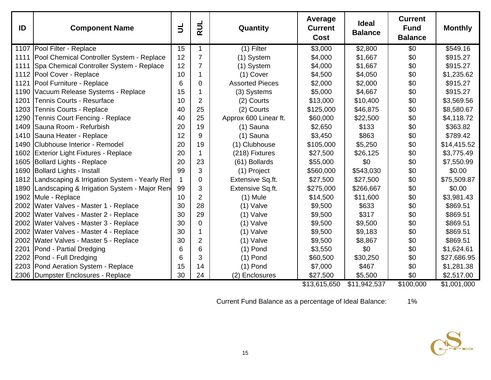| ID   | <b>Component Name</b>                             | $\mathsf{I}$ | <b>AUL</b>     | Quantity               | Average<br><b>Current</b><br><b>Cost</b> | <b>Ideal</b><br><b>Balance</b> | <b>Current</b><br><b>Fund</b><br><b>Balance</b> | <b>Monthly</b> |
|------|---------------------------------------------------|--------------|----------------|------------------------|------------------------------------------|--------------------------------|-------------------------------------------------|----------------|
|      | 1107   Pool Filter - Replace                      | 15           | 1              | $(1)$ Filter           | \$3,000                                  | \$2,800                        | \$0                                             | \$549.16       |
| 1111 | Pool Chemical Controller System - Replace         | 12           | $\overline{7}$ | (1) System             | \$4,000                                  | \$1,667                        | \$0                                             | \$915.27       |
| 1111 | Spa Chemical Controller System - Replace          | 12           | $\overline{7}$ | (1) System             | \$4,000                                  | \$1,667                        | \$0                                             | \$915.27       |
|      | 1112 Pool Cover - Replace                         | 10           | 1              | (1) Cover              | \$4,500                                  | \$4,050                        | \$0                                             | \$1,235.62     |
| 1121 | Pool Furniture - Replace                          | 6            | $\mathbf 0$    | <b>Assorted Pieces</b> | \$2,000                                  | \$2,000                        | \$0                                             | \$915.27       |
| 1190 | Vacuum Release Systems - Replace                  | 15           | 1              | (3) Systems            | \$5,000                                  | \$4,667                        | \$0                                             | \$915.27       |
| 1201 | <b>Tennis Courts - Resurface</b>                  | 10           | $\overline{2}$ | (2) Courts             | \$13,000                                 | \$10,400                       | \$0                                             | \$3,569.56     |
| 1203 | Tennis Courts - Replace                           | 40           | 25             | (2) Courts             | \$125,000                                | \$46,875                       | \$0                                             | \$8,580.67     |
| 1290 | Tennis Court Fencing - Replace                    | 40           | 25             | Approx 600 Linear ft.  | \$60,000                                 | \$22,500                       | \$0                                             | \$4,118.72     |
| 1409 | Sauna Room - Refurbish                            | 20           | 19             | (1) Sauna              | \$2,650                                  | \$133                          | \$0                                             | \$363.82       |
|      | 1410 Sauna Heater - Replace                       | 12           | 9              | (1) Sauna              | \$3,450                                  | \$863                          | \$0                                             | \$789.42       |
| 1490 | Clubhouse Interior - Remodel                      | 20           | 19             | (1) Clubhouse          | \$105,000                                | \$5,250                        | \$0                                             | \$14,415.52    |
| 1602 | <b>Exterior Light Fixtures - Replace</b>          | 20           | $\mathbf 1$    | (218) Fixtures         | \$27,500                                 | \$26,125                       | \$0                                             | \$3,775.49     |
| 1605 | <b>Bollard Lights - Replace</b>                   | 20           | 23             | (61) Bollards          | \$55,000                                 | \$0                            | \$0                                             | \$7,550.99     |
|      | 1690 Bollard Lights - Install                     | 99           | 3              | (1) Project            | \$560,000                                | \$543,030                      | \$0                                             | \$0.00         |
|      | 1812 Landscaping & Irrigation System - Yearly Ren | 1            | $\mathbf 0$    | Extensive Sq.ft.       | \$27,500                                 | \$27,500                       | \$0                                             | \$75,509.87    |
|      | 1890 Landscaping & Irrigation System - Major Ren  | 99           | 3              | Extensive Sq.ft.       | \$275,000                                | \$266,667                      | \$0                                             | \$0.00         |
|      | 1902 Mule - Replace                               | 10           | $\overline{2}$ | $(1)$ Mule             | \$14,500                                 | \$11,600                       | \$0                                             | \$3,981.43     |
|      | 2002 Water Valves - Master 1 - Replace            | 30           | 28             | $(1)$ Valve            | \$9,500                                  | \$633                          | \$0                                             | \$869.51       |
|      | 2002 Water Valves - Master 2 - Replace            | 30           | 29             | $(1)$ Valve            | \$9,500                                  | \$317                          | \$0                                             | \$869.51       |
|      | 2002 Water Valves - Master 3 - Replace            | 30           | $\mathbf 0$    | $(1)$ Valve            | \$9,500                                  | \$9,500                        | \$0                                             | \$869.51       |
|      | 2002 Water Valves - Master 4 - Replace            | 30           | $\mathbf 1$    | (1) Valve              | \$9,500                                  | \$9,183                        | \$0                                             | \$869.51       |
|      | 2002 Water Valves - Master 5 - Replace            | 30           | $\overline{2}$ | $(1)$ Valve            | \$9,500                                  | \$8,867                        | \$0                                             | \$869.51       |
|      | 2201 Pond - Partial Dredging                      | 6            | 6              | $(1)$ Pond             | \$3,550                                  | \$0                            | \$0                                             | \$1,624.61     |
| 2202 | Pond - Full Dredging                              | 6            | 3              | $(1)$ Pond             | \$60,500                                 | \$30,250                       | \$0                                             | \$27,686.95    |
|      | 2203 Pond Aeration System - Replace               | 15           | 14             | $(1)$ Pond             | \$7,000                                  | \$467                          | \$0                                             | \$1,281.38     |
|      | 2306 Dumpster Enclosures - Replace                | 30           | 24             | (2) Enclosures         | \$27,500                                 | \$5,500                        | \$0                                             | \$2,517.00     |

\$13,615,650 \$11,942,537 \$100,000 \$1,001,000

Current Fund Balance as a percentage of Ideal Balance: 1%

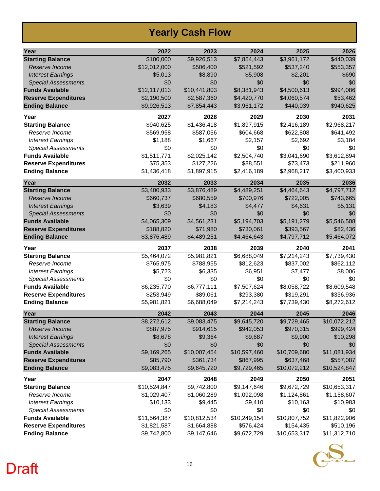#### **Yearly Cash Flow**

| Year                        | 2022         | 2023         | 2024         | 2025         | 2026         |
|-----------------------------|--------------|--------------|--------------|--------------|--------------|
| <b>Starting Balance</b>     | \$100,000    | \$9,926,513  | \$7,854,443  | \$3,961,172  | \$440,039    |
| Reserve Income              | \$12,012,000 | \$506,400    | \$521,592    | \$537,240    | \$553,357    |
| <b>Interest Earnings</b>    | \$5,013      | \$8,890      | \$5,908      | \$2,201      | \$690        |
| <b>Special Assessments</b>  | \$0          | \$0          | \$0          | \$0          | \$0          |
| <b>Funds Available</b>      | \$12,117,013 | \$10,441,803 | \$8,381,943  | \$4,500,613  | \$994,086    |
| <b>Reserve Expenditures</b> | \$2,190,500  | \$2,587,360  | \$4,420,770  | \$4,060,574  | \$53,462     |
| <b>Ending Balance</b>       | \$9,926,513  | \$7,854,443  | \$3,961,172  | \$440,039    | \$940,625    |
| Year                        | 2027         | 2028         | 2029         | 2030         | 2031         |
| <b>Starting Balance</b>     | \$940,625    | \$1,436,418  | \$1,897,915  | \$2,416,189  | \$2,968,217  |
| Reserve Income              | \$569,958    | \$587,056    | \$604,668    | \$622,808    | \$641,492    |
| <b>Interest Earnings</b>    | \$1,188      | \$1,667      | \$2,157      | \$2,692      | \$3,184      |
| <b>Special Assessments</b>  | \$0          | \$0          | \$0          | \$0          | \$0          |
| <b>Funds Available</b>      | \$1,511,771  | \$2,025,142  | \$2,504,740  | \$3,041,690  | \$3,612,894  |
| <b>Reserve Expenditures</b> | \$75,353     | \$127,226    | \$88,551     | \$73,473     | \$211,960    |
| <b>Ending Balance</b>       | \$1,436,418  | \$1,897,915  | \$2,416,189  | \$2,968,217  | \$3,400,933  |
| Year                        | 2032         | 2033         | 2034         | 2035         | 2036         |
| <b>Starting Balance</b>     | \$3,400,933  | \$3,876,489  | \$4,489,251  | \$4,464,643  | \$4,797,712  |
| Reserve Income              | \$660,737    | \$680,559    | \$700,976    | \$722,005    | \$743,665    |
| <b>Interest Earnings</b>    | \$3,639      | \$4,183      | \$4,477      | \$4,631      | \$5,131      |
| <b>Special Assessments</b>  | \$0          | \$0          | \$0          | \$0          | \$0          |
| <b>Funds Available</b>      | \$4,065,309  | \$4,561,231  | \$5,194,703  | \$5,191,279  | \$5,546,508  |
| <b>Reserve Expenditures</b> | \$188,820    | \$71,980     | \$730,061    | \$393,567    | \$82,436     |
| <b>Ending Balance</b>       | \$3,876,489  | \$4,489,251  | \$4,464,643  | \$4,797,712  | \$5,464,072  |
| Year                        | 2037         | 2038         | 2039         | 2040         | 2041         |
| <b>Starting Balance</b>     | \$5,464,072  | \$5,981,821  | \$6,688,049  | \$7,214,243  | \$7,739,430  |
| Reserve Income              | \$765,975    | \$788,955    | \$812,623    | \$837,002    | \$862,112    |
| <b>Interest Earnings</b>    | \$5,723      | \$6,335      | \$6,951      | \$7,477      | \$8,006      |
| <b>Special Assessments</b>  | \$0          | \$0          | \$0          | \$0          | \$0          |
| <b>Funds Available</b>      | \$6,235,770  | \$6,777,111  | \$7,507,624  | \$8,058,722  | \$8,609,548  |
| <b>Reserve Expenditures</b> | \$253,949    | \$89,061     | \$293,380    | \$319,291    | \$336,936    |
| <b>Ending Balance</b>       | \$5,981,821  | \$6,688,049  | \$7,214,243  | \$7,739,430  | \$8,272,612  |
| Year                        | 2042         | 2043         | 2044         | 2045         | 2046         |
| <b>Starting Balance</b>     | \$8,272,612  | \$9,083,475  | \$9,645,720  | \$9,729,465  | \$10,072,212 |
| Reserve Income              | \$887,975    | \$914,615    | \$942,053    | \$970,315    | \$999,424    |
| <b>Interest Earnings</b>    | \$8,678      | \$9,364      | \$9,687      | \$9,900      | \$10,298     |
| <b>Special Assessments</b>  | \$0          | \$0          | \$0          | \$0          | \$0          |
| <b>Funds Available</b>      | \$9,169,265  | \$10,007,454 | \$10,597,460 | \$10,709,680 | \$11,081,934 |
| <b>Reserve Expenditures</b> | \$85,790     | \$361,734    | \$867,995    | \$637,468    | \$557,087    |
| <b>Ending Balance</b>       | \$9,083,475  | \$9,645,720  | \$9,729,465  | \$10,072,212 | \$10,524,847 |
| Year                        | 2047         | 2048         | 2049         | 2050         | 2051         |
| <b>Starting Balance</b>     | \$10,524,847 | \$9,742,800  | \$9,147,646  | \$9,672,729  | \$10,653,317 |
| Reserve Income              | \$1,029,407  | \$1,060,289  | \$1,092,098  | \$1,124,861  | \$1,158,607  |
| <b>Interest Earnings</b>    | \$10,133     | \$9,445      | \$9,410      | \$10,163     | \$10,983     |
| <b>Special Assessments</b>  | \$0          | \$0          | \$0          | \$0          | \$0          |
| <b>Funds Available</b>      | \$11,564,387 | \$10,812,534 | \$10,249,154 | \$10,807,752 | \$11,822,906 |
| <b>Reserve Expenditures</b> | \$1,821,587  | \$1,664,888  | \$576,424    | \$154,435    | \$510,196    |
| <b>Ending Balance</b>       | \$9,742,800  | \$9,147,646  | \$9,672,729  | \$10,653,317 | \$11,312,710 |

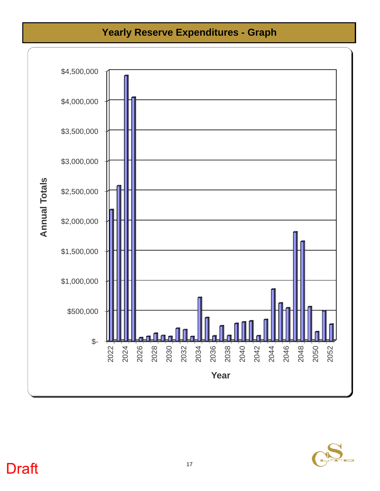#### **Yearly Reserve Expenditures - Graph**



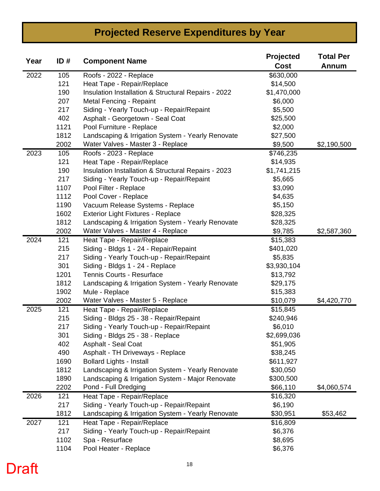#### **Projected Reserve Expenditures by Year**

| Year | ID#  | <b>Component Name</b>                               | Projected<br>Cost    | <b>Total Per</b><br><b>Annum</b> |
|------|------|-----------------------------------------------------|----------------------|----------------------------------|
| 2022 | 105  | Roofs - 2022 - Replace                              | \$630,000            |                                  |
|      | 121  | Heat Tape - Repair/Replace                          | \$14,500             |                                  |
|      | 190  | Insulation Installation & Structural Repairs - 2022 | \$1,470,000          |                                  |
|      | 207  | Metal Fencing - Repaint                             | \$6,000              |                                  |
|      | 217  | Siding - Yearly Touch-up - Repair/Repaint           | \$5,500              |                                  |
|      | 402  | Asphalt - Georgetown - Seal Coat                    | \$25,500             |                                  |
|      | 1121 | Pool Furniture - Replace                            | \$2,000              |                                  |
|      | 1812 | Landscaping & Irrigation System - Yearly Renovate   | \$27,500             |                                  |
|      | 2002 | Water Valves - Master 3 - Replace                   | \$9,500              | \$2,190,500                      |
| 2023 | 105  | Roofs - 2023 - Replace                              | \$746,235            |                                  |
|      | 121  | Heat Tape - Repair/Replace                          | \$14,935             |                                  |
|      | 190  | Insulation Installation & Structural Repairs - 2023 | \$1,741,215          |                                  |
|      | 217  | Siding - Yearly Touch-up - Repair/Repaint           | \$5,665              |                                  |
|      | 1107 | Pool Filter - Replace                               | \$3,090              |                                  |
|      | 1112 | Pool Cover - Replace                                | \$4,635              |                                  |
|      | 1190 | Vacuum Release Systems - Replace                    | \$5,150              |                                  |
|      | 1602 | <b>Exterior Light Fixtures - Replace</b>            | \$28,325             |                                  |
|      | 1812 | Landscaping & Irrigation System - Yearly Renovate   | \$28,325             |                                  |
|      | 2002 | Water Valves - Master 4 - Replace                   | \$9,785              | \$2,587,360                      |
| 2024 | 121  | Heat Tape - Repair/Replace                          | \$15,383             |                                  |
|      | 215  | Siding - Bldgs 1 - 24 - Repair/Repaint              | \$401,020            |                                  |
|      | 217  | Siding - Yearly Touch-up - Repair/Repaint           | \$5,835              |                                  |
|      | 301  | Siding - Bldgs 1 - 24 - Replace                     | \$3,930,104          |                                  |
|      | 1201 | Tennis Courts - Resurface                           | \$13,792             |                                  |
|      | 1812 | Landscaping & Irrigation System - Yearly Renovate   | \$29,175             |                                  |
|      | 1902 | Mule - Replace                                      | \$15,383             |                                  |
|      | 2002 | Water Valves - Master 5 - Replace                   | \$10,079             | \$4,420,770                      |
| 2025 | 121  | Heat Tape - Repair/Replace                          | $\overline{$}15,845$ |                                  |
|      | 215  | Siding - Bldgs 25 - 38 - Repair/Repaint             | \$240,946            |                                  |
|      | 217  | Siding - Yearly Touch-up - Repair/Repaint           | \$6,010              |                                  |
|      | 301  | Siding - Bldgs 25 - 38 - Replace                    | \$2,699,036          |                                  |
|      | 402  | <b>Asphalt - Seal Coat</b>                          | \$51,905             |                                  |
|      | 490  | Asphalt - TH Driveways - Replace                    | \$38,245             |                                  |
|      | 1690 | <b>Bollard Lights - Install</b>                     | \$611,927            |                                  |
|      | 1812 | Landscaping & Irrigation System - Yearly Renovate   | \$30,050             |                                  |
|      | 1890 | Landscaping & Irrigation System - Major Renovate    | \$300,500            |                                  |
|      | 2202 | Pond - Full Dredging                                | \$66,110             | \$4,060,574                      |
| 2026 | 121  | Heat Tape - Repair/Replace                          | \$16,320             |                                  |
|      | 217  | Siding - Yearly Touch-up - Repair/Repaint           | \$6,190              |                                  |
|      | 1812 | Landscaping & Irrigation System - Yearly Renovate   | \$30,951             | \$53,462                         |
| 2027 | 121  | Heat Tape - Repair/Replace                          | \$16,809             |                                  |
|      | 217  | Siding - Yearly Touch-up - Repair/Repaint           | \$6,376              |                                  |
|      | 1102 | Spa - Resurface                                     | \$8,695              |                                  |
|      | 1104 | Pool Heater - Replace                               | \$6,376              |                                  |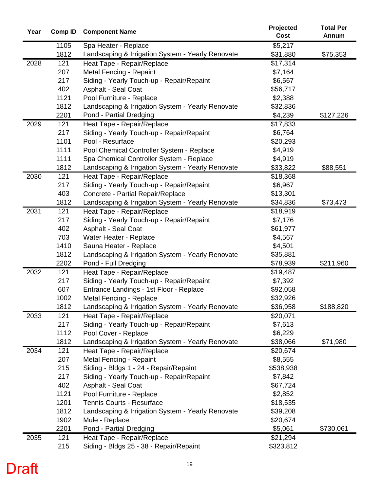| Year | <b>Comp ID</b> | <b>Component Name</b>                                 | Projected            | <b>Total Per</b> |
|------|----------------|-------------------------------------------------------|----------------------|------------------|
|      |                |                                                       | Cost                 | Annum            |
|      | 1105           | Spa Heater - Replace                                  | \$5,217              |                  |
|      | 1812           | Landscaping & Irrigation System - Yearly Renovate     | \$31,880             | \$75,353         |
| 2028 | 121            | Heat Tape - Repair/Replace                            | \$17,314             |                  |
|      | 207            | Metal Fencing - Repaint                               | \$7,164              |                  |
|      | 217            | Siding - Yearly Touch-up - Repair/Repaint             | \$6,567              |                  |
|      | 402            | Asphalt - Seal Coat                                   | \$56,717             |                  |
|      | 1121           | Pool Furniture - Replace                              | \$2,388              |                  |
|      | 1812           | Landscaping & Irrigation System - Yearly Renovate     | \$32,836             |                  |
|      | 2201           | Pond - Partial Dredging                               | \$4,239              | \$127,226        |
| 2029 | 121            | Heat Tape - Repair/Replace                            | \$17,833             |                  |
|      | 217            | Siding - Yearly Touch-up - Repair/Repaint             | \$6,764              |                  |
|      | 1101           | Pool - Resurface                                      | \$20,293             |                  |
|      | 1111           | Pool Chemical Controller System - Replace             | \$4,919              |                  |
|      | 1111           | Spa Chemical Controller System - Replace              | \$4,919              |                  |
|      | 1812           | Landscaping & Irrigation System - Yearly Renovate     | \$33,822             | \$88,551         |
| 2030 | 121            | Heat Tape - Repair/Replace                            | \$18,368             |                  |
|      | 217            | Siding - Yearly Touch-up - Repair/Repaint             | \$6,967              |                  |
|      | 403            | Concrete - Partial Repair/Replace                     | \$13,301             |                  |
|      | 1812           | Landscaping & Irrigation System - Yearly Renovate     | \$34,836             | \$73,473         |
| 2031 | 121            | Heat Tape - Repair/Replace                            | \$18,919             |                  |
|      | 217            | Siding - Yearly Touch-up - Repair/Repaint             | \$7,176              |                  |
|      | 402            | Asphalt - Seal Coat                                   | \$61,977             |                  |
|      | 703            | Water Heater - Replace                                | \$4,567              |                  |
|      | 1410           | Sauna Heater - Replace                                | \$4,501              |                  |
|      | 1812           | Landscaping & Irrigation System - Yearly Renovate     | \$35,881             |                  |
|      | 2202           | Pond - Full Dredging                                  | \$78,939             | \$211,960        |
| 2032 | 121            | Heat Tape - Repair/Replace                            | \$19,487             |                  |
|      | 217            | Siding - Yearly Touch-up - Repair/Repaint             | \$7,392              |                  |
|      | 607            | Entrance Landings - 1st Floor - Replace               | \$92,058             |                  |
|      | 1002           | Metal Fencing - Replace                               | \$32,926             |                  |
|      | 1812           | Landscaping & Irrigation System - Yearly Renovate     | \$36,958             | \$188,820        |
| 2033 | 121            | Heat Tape - Repair/Replace                            | \$20,071             |                  |
|      | 217            | Siding - Yearly Touch-up - Repair/Repaint             | \$7,613              |                  |
|      | 1112<br>1812   | Pool Cover - Replace                                  | \$6,229              |                  |
| 2034 | 121            | Landscaping & Irrigation System - Yearly Renovate     | \$38,066<br>\$20,674 | \$71,980         |
|      | 207            | Heat Tape - Repair/Replace<br>Metal Fencing - Repaint | \$8,555              |                  |
|      | 215            | Siding - Bldgs 1 - 24 - Repair/Repaint                | \$538,938            |                  |
|      | 217            | Siding - Yearly Touch-up - Repair/Repaint             | \$7,842              |                  |
|      | 402            | Asphalt - Seal Coat                                   | \$67,724             |                  |
|      | 1121           | Pool Furniture - Replace                              | \$2,852              |                  |
|      | 1201           | Tennis Courts - Resurface                             | \$18,535             |                  |
|      | 1812           | Landscaping & Irrigation System - Yearly Renovate     | \$39,208             |                  |
|      | 1902           | Mule - Replace                                        | \$20,674             |                  |
|      | 2201           | Pond - Partial Dredging                               | \$5,061              | \$730,061        |
| 2035 | 121            | Heat Tape - Repair/Replace                            | \$21,294             |                  |
|      | 215            | Siding - Bldgs 25 - 38 - Repair/Repaint               | \$323,812            |                  |
|      |                |                                                       |                      |                  |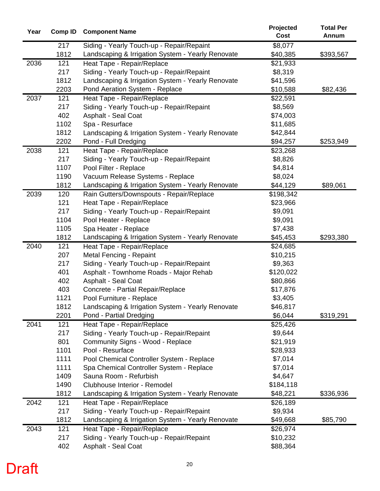| Year | <b>Comp ID</b> | <b>Component Name</b>                                                | Projected<br>Cost    | <b>Total Per</b><br>Annum |
|------|----------------|----------------------------------------------------------------------|----------------------|---------------------------|
|      | 217            | Siding - Yearly Touch-up - Repair/Repaint                            | \$8,077              |                           |
|      | 1812           | Landscaping & Irrigation System - Yearly Renovate                    | \$40,385             | \$393,567                 |
| 2036 | 121            | Heat Tape - Repair/Replace                                           | \$21,933             |                           |
|      | 217            | Siding - Yearly Touch-up - Repair/Repaint                            | \$8,319              |                           |
|      | 1812           | Landscaping & Irrigation System - Yearly Renovate                    | \$41,596             |                           |
|      | 2203           | Pond Aeration System - Replace                                       | \$10,588             | \$82,436                  |
| 2037 | 121            | Heat Tape - Repair/Replace                                           | \$22,591             |                           |
|      | 217            | Siding - Yearly Touch-up - Repair/Repaint                            | \$8,569              |                           |
|      | 402            | <b>Asphalt - Seal Coat</b>                                           | \$74,003             |                           |
|      | 1102           | Spa - Resurface                                                      | \$11,685             |                           |
|      | 1812           | Landscaping & Irrigation System - Yearly Renovate                    | \$42,844             |                           |
|      | 2202           | Pond - Full Dredging                                                 | \$94,257             | \$253,949                 |
| 2038 | 121            | Heat Tape - Repair/Replace                                           | \$23,268             |                           |
|      | 217            | Siding - Yearly Touch-up - Repair/Repaint                            | \$8,826              |                           |
|      | 1107           | Pool Filter - Replace                                                | \$4,814              |                           |
|      | 1190           | Vacuum Release Systems - Replace                                     | \$8,024              |                           |
|      | 1812           | Landscaping & Irrigation System - Yearly Renovate                    | \$44,129             | \$89,061                  |
| 2039 | 120            | Rain Gutters/Downspouts - Repair/Replace                             | \$198,342            |                           |
|      | 121            | Heat Tape - Repair/Replace                                           | \$23,966             |                           |
|      | 217            | Siding - Yearly Touch-up - Repair/Repaint                            | \$9,091              |                           |
|      | 1104           | Pool Heater - Replace                                                | \$9,091              |                           |
|      | 1105           | Spa Heater - Replace                                                 | \$7,438              |                           |
|      | 1812           | Landscaping & Irrigation System - Yearly Renovate                    | \$45,453             | \$293,380                 |
| 2040 | 121            | Heat Tape - Repair/Replace                                           | \$24,685             |                           |
|      | 207            | Metal Fencing - Repaint                                              | \$10,215             |                           |
|      | 217<br>401     | Siding - Yearly Touch-up - Repair/Repaint                            | \$9,363<br>\$120,022 |                           |
|      | 402            | Asphalt - Townhome Roads - Major Rehab<br><b>Asphalt - Seal Coat</b> | \$80,866             |                           |
|      | 403            | Concrete - Partial Repair/Replace                                    | \$17,876             |                           |
|      | 1121           | Pool Furniture - Replace                                             | \$3,405              |                           |
|      | 1812           | Landscaping & Irrigation System - Yearly Renovate                    | \$46,817             |                           |
|      | 2201           | Pond - Partial Dredging                                              | \$6,044              | \$319,291                 |
| 2041 | 121            | Heat Tape - Repair/Replace                                           | \$25,426             |                           |
|      | 217            | Siding - Yearly Touch-up - Repair/Repaint                            | \$9,644              |                           |
|      | 801            | Community Signs - Wood - Replace                                     | \$21,919             |                           |
|      | 1101           | Pool - Resurface                                                     | \$28,933             |                           |
|      | 1111           | Pool Chemical Controller System - Replace                            | \$7,014              |                           |
|      | 1111           | Spa Chemical Controller System - Replace                             | \$7,014              |                           |
|      | 1409           | Sauna Room - Refurbish                                               | \$4,647              |                           |
|      | 1490           | Clubhouse Interior - Remodel                                         | \$184,118            |                           |
|      | 1812           | Landscaping & Irrigation System - Yearly Renovate                    | \$48,221             | \$336,936                 |
| 2042 | 121            | Heat Tape - Repair/Replace                                           | \$26,189             |                           |
|      | 217            | Siding - Yearly Touch-up - Repair/Repaint                            | \$9,934              |                           |
|      | 1812           | Landscaping & Irrigation System - Yearly Renovate                    | \$49,668             | \$85,790                  |
| 2043 | 121            | Heat Tape - Repair/Replace                                           | \$26,974             |                           |
|      | 217            | Siding - Yearly Touch-up - Repair/Repaint                            | \$10,232             |                           |
|      | 402            | Asphalt - Seal Coat                                                  | \$88,364             |                           |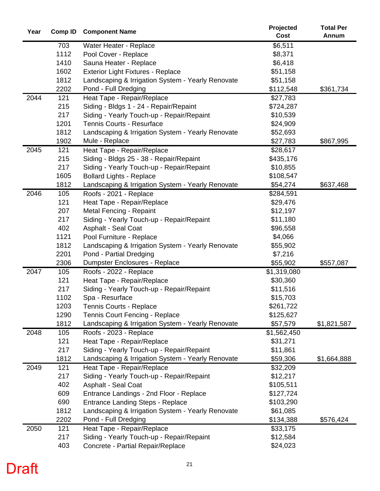| Year | Comp ID | <b>Component Name</b>                             | Projected   | <b>Total Per</b> |
|------|---------|---------------------------------------------------|-------------|------------------|
|      |         |                                                   | Cost        | Annum            |
|      | 703     | Water Heater - Replace                            | \$6,511     |                  |
|      | 1112    | Pool Cover - Replace                              | \$8,371     |                  |
|      | 1410    | Sauna Heater - Replace                            | \$6,418     |                  |
|      | 1602    | <b>Exterior Light Fixtures - Replace</b>          | \$51,158    |                  |
|      | 1812    | Landscaping & Irrigation System - Yearly Renovate | \$51,158    |                  |
|      | 2202    | Pond - Full Dredging                              | \$112,548   | \$361,734        |
| 2044 | 121     | Heat Tape - Repair/Replace                        | \$27,783    |                  |
|      | 215     | Siding - Bldgs 1 - 24 - Repair/Repaint            | \$724,287   |                  |
|      | 217     | Siding - Yearly Touch-up - Repair/Repaint         | \$10,539    |                  |
|      | 1201    | <b>Tennis Courts - Resurface</b>                  | \$24,909    |                  |
|      | 1812    | Landscaping & Irrigation System - Yearly Renovate | \$52,693    |                  |
|      | 1902    | Mule - Replace                                    | \$27,783    | \$867,995        |
| 2045 | 121     | Heat Tape - Repair/Replace                        | \$28,617    |                  |
|      | 215     | Siding - Bldgs 25 - 38 - Repair/Repaint           | \$435,176   |                  |
|      | 217     | Siding - Yearly Touch-up - Repair/Repaint         | \$10,855    |                  |
|      | 1605    | <b>Bollard Lights - Replace</b>                   | \$108,547   |                  |
|      | 1812    | Landscaping & Irrigation System - Yearly Renovate | \$54,274    | \$637,468        |
| 2046 | 105     | Roofs - 2021 - Replace                            | \$284,591   |                  |
|      | 121     | Heat Tape - Repair/Replace                        | \$29,476    |                  |
|      | 207     | Metal Fencing - Repaint                           | \$12,197    |                  |
|      | 217     | Siding - Yearly Touch-up - Repair/Repaint         | \$11,180    |                  |
|      | 402     | Asphalt - Seal Coat                               | \$96,558    |                  |
|      | 1121    | Pool Furniture - Replace                          | \$4,066     |                  |
|      | 1812    | Landscaping & Irrigation System - Yearly Renovate | \$55,902    |                  |
|      | 2201    | Pond - Partial Dredging                           | \$7,216     |                  |
|      | 2306    | Dumpster Enclosures - Replace                     | \$55,902    | \$557,087        |
| 2047 | 105     | Roofs - 2022 - Replace                            | \$1,319,080 |                  |
|      | 121     | Heat Tape - Repair/Replace                        | \$30,360    |                  |
|      | 217     | Siding - Yearly Touch-up - Repair/Repaint         | \$11,516    |                  |
|      | 1102    | Spa - Resurface                                   | \$15,703    |                  |
|      | 1203    | Tennis Courts - Replace                           | \$261,722   |                  |
|      | 1290    | <b>Tennis Court Fencing - Replace</b>             | \$125,627   |                  |
|      | 1812    | Landscaping & Irrigation System - Yearly Renovate | \$57,579    | \$1,821,587      |
| 2048 | 105     | Roofs - 2023 - Replace                            | \$1,562,450 |                  |
|      | 121     | Heat Tape - Repair/Replace                        | \$31,271    |                  |
|      | 217     | Siding - Yearly Touch-up - Repair/Repaint         | \$11,861    |                  |
|      | 1812    | Landscaping & Irrigation System - Yearly Renovate | \$59,306    | \$1,664,888      |
| 2049 | 121     | Heat Tape - Repair/Replace                        | \$32,209    |                  |
|      | 217     | Siding - Yearly Touch-up - Repair/Repaint         | \$12,217    |                  |
|      | 402     | Asphalt - Seal Coat                               | \$105,511   |                  |
|      | 609     | Entrance Landings - 2nd Floor - Replace           | \$127,724   |                  |
|      | 690     | <b>Entrance Landing Steps - Replace</b>           | \$103,290   |                  |
|      | 1812    | Landscaping & Irrigation System - Yearly Renovate | \$61,085    |                  |
|      | 2202    | Pond - Full Dredging                              | \$134,388   | \$576,424        |
| 2050 | 121     | Heat Tape - Repair/Replace                        | \$33,175    |                  |
|      | 217     | Siding - Yearly Touch-up - Repair/Repaint         | \$12,584    |                  |
|      | 403     | Concrete - Partial Repair/Replace                 | \$24,023    |                  |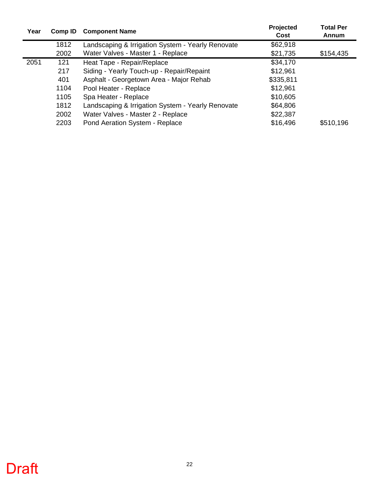| Year | Comp ID | <b>Component Name</b>                             | Projected<br>Cost | <b>Total Per</b><br>Annum |
|------|---------|---------------------------------------------------|-------------------|---------------------------|
|      | 1812    | Landscaping & Irrigation System - Yearly Renovate | \$62,918          |                           |
|      | 2002    | Water Valves - Master 1 - Replace                 | \$21,735          | \$154,435                 |
| 2051 | 121     | Heat Tape - Repair/Replace                        | \$34,170          |                           |
|      | 217     | Siding - Yearly Touch-up - Repair/Repaint         | \$12,961          |                           |
|      | 401     | Asphalt - Georgetown Area - Major Rehab           | \$335,811         |                           |
|      | 1104    | Pool Heater - Replace                             | \$12,961          |                           |
|      | 1105    | Spa Heater - Replace                              | \$10,605          |                           |
|      | 1812    | Landscaping & Irrigation System - Yearly Renovate | \$64,806          |                           |
|      | 2002    | Water Valves - Master 2 - Replace                 | \$22,387          |                           |
|      | 2203    | Pond Aeration System - Replace                    | \$16,496          | \$510,196                 |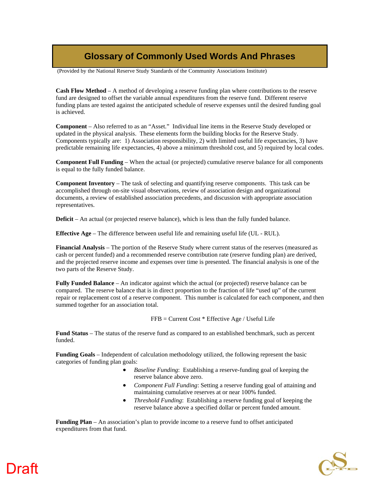#### **Glossary of Commonly Used Words And Phrases**

(Provided by the National Reserve Study Standards of the Community Associations Institute)

**Cash Flow Method** – A method of developing a reserve funding plan where contributions to the reserve fund are designed to offset the variable annual expenditures from the reserve fund. Different reserve funding plans are tested against the anticipated schedule of reserve expenses until the desired funding goal is achieved.

**Component** – Also referred to as an "Asset." Individual line items in the Reserve Study developed or updated in the physical analysis. These elements form the building blocks for the Reserve Study. Components typically are: 1) Association responsibility, 2) with limited useful life expectancies, 3) have predictable remaining life expectancies, 4) above a minimum threshold cost, and 5) required by local codes.

**Component Full Funding** – When the actual (or projected) cumulative reserve balance for all components is equal to the fully funded balance.

**Component Inventory** – The task of selecting and quantifying reserve components. This task can be accomplished through on-site visual observations, review of association design and organizational documents, a review of established association precedents, and discussion with appropriate association representatives.

**Deficit** – An actual (or projected reserve balance), which is less than the fully funded balance.

**Effective Age** – The difference between useful life and remaining useful life (UL - RUL).

**Financial Analysis** – The portion of the Reserve Study where current status of the reserves (measured as cash or percent funded) and a recommended reserve contribution rate (reserve funding plan) are derived, and the projected reserve income and expenses over time is presented. The financial analysis is one of the two parts of the Reserve Study.

**Fully Funded Balance** – An indicator against which the actual (or projected) reserve balance can be compared. The reserve balance that is in direct proportion to the fraction of life "used up" of the current repair or replacement cost of a reserve component. This number is calculated for each component, and then summed together for an association total.

FFB = Current Cost \* Effective Age / Useful Life

**Fund Status** – The status of the reserve fund as compared to an established benchmark, such as percent funded.

**Funding Goals** – Independent of calculation methodology utilized, the following represent the basic categories of funding plan goals:

- *Baseline Funding*: Establishing a reserve-funding goal of keeping the reserve balance above zero.
- *Component Full Funding*: Setting a reserve funding goal of attaining and maintaining cumulative reserves at or near 100% funded.
- *Threshold Funding*: Establishing a reserve funding goal of keeping the reserve balance above a specified dollar or percent funded amount.

**Funding Plan** – An association's plan to provide income to a reserve fund to offset anticipated expenditures from that fund.